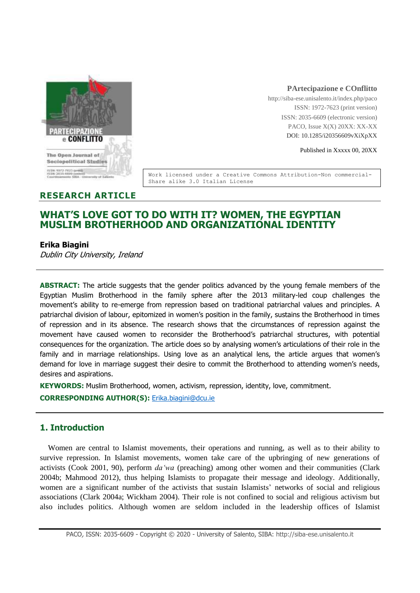

### **PArtecipazione e COnflitto**

http://siba-ese.unisalento.it/index.php/paco ISSN: 1972-7623 (print version) ISSN: 2035-6609 (electronic version) PACO, Issue X(X) 20XX: XX-XX DOI: 10.1285/i20356609vXiXpXX

Published in Xxxxx 00, 20XX

Work licensed under a Creative Commons Attribution-Non commercial-Share alike 3.0 Italian License

### **RESEARCH ARTICLE**

# **WHAT'S LOVE GOT TO DO WITH IT? WOMEN, THE EGYPTIAN MUSLIM BROTHERHOOD AND ORGANIZATIONAL IDENTITY**

### **Erika Biagini**

Dublin City University, Ireland

**ABSTRACT:** The article suggests that the gender politics advanced by the young female members of the Egyptian Muslim Brotherhood in the family sphere after the 2013 military-led coup challenges the movement's ability to re-emerge from repression based on traditional patriarchal values and principles. A patriarchal division of labour, epitomized in women's position in the family, sustains the Brotherhood in times of repression and in its absence. The research shows that the circumstances of repression against the movement have caused women to reconsider the Brotherhood's patriarchal structures, with potential consequences for the organization. The article does so by analysing women's articulations of their role in the family and in marriage relationships. Using love as an analytical lens, the article argues that women's demand for love in marriage suggest their desire to commit the Brotherhood to attending women's needs, desires and aspirations.

**KEYWORDS:** Muslim Brotherhood, women, activism, repression, identity, love, commitment.

**CORRESPONDING AUTHOR(S):** [Erika.biagini@dcu.ie](mailto:Erika.biagini@dcu.ie)

## **1. Introduction**

Women are central to Islamist movements, their operations and running, as well as to their ability to survive repression. In Islamist movements, women take care of the upbringing of new generations of activists (Cook 2001, 90), perform *da'wa* (preaching) among other women and their communities (Clark 2004b; Mahmood 2012), thus helping Islamists to propagate their message and ideology. Additionally, women are a significant number of the activists that sustain Islamists' networks of social and religious associations (Clark 2004a; Wickham 2004). Their role is not confined to social and religious activism but also includes politics. Although women are seldom included in the leadership offices of Islamist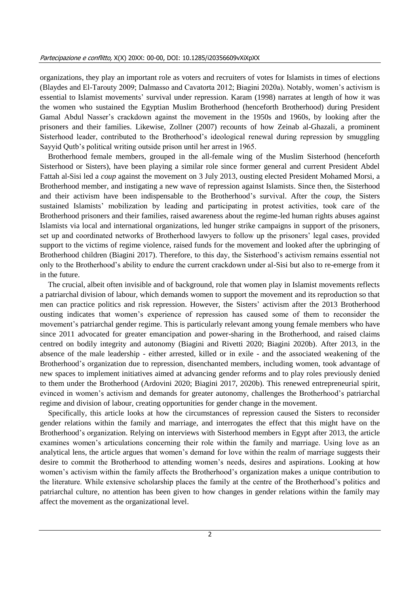organizations, they play an important role as voters and recruiters of votes for Islamists in times of elections (Blaydes and El-Tarouty 2009; Dalmasso and Cavatorta 2012; Biagini 2020a). Notably, women's activism is essential to Islamist movements' survival under repression. Karam (1998) narrates at length of how it was the women who sustained the Egyptian Muslim Brotherhood (henceforth Brotherhood) during President Gamal Abdul Nasser's crackdown against the movement in the 1950s and 1960s, by looking after the prisoners and their families. Likewise, Zollner (2007) recounts of how Zeinab al-Ghazali, a prominent Sisterhood leader, contributed to the Brotherhood's ideological renewal during repression by smuggling Sayyid Qutb's political writing outside prison until her arrest in 1965.

Brotherhood female members, grouped in the all-female wing of the Muslim Sisterhood (henceforth Sisterhood or Sisters), have been playing a similar role since former general and current President Abdel Fattah al-Sisi led a *coup* against the movement on 3 July 2013, ousting elected President Mohamed Morsi, a Brotherhood member, and instigating a new wave of repression against Islamists. Since then, the Sisterhood and their activism have been indispensable to the Brotherhood's survival. After the *coup*, the Sisters sustained Islamists' mobilization by leading and participating in protest activities, took care of the Brotherhood prisoners and their families, raised awareness about the regime-led human rights abuses against Islamists via local and international organizations, led hunger strike campaigns in support of the prisoners, set up and coordinated networks of Brotherhood lawyers to follow up the prisoners' legal cases, provided support to the victims of regime violence, raised funds for the movement and looked after the upbringing of Brotherhood children (Biagini 2017). Therefore, to this day, the Sisterhood's activism remains essential not only to the Brotherhood's ability to endure the current crackdown under al-Sisi but also to re-emerge from it in the future.

The crucial, albeit often invisible and of background, role that women play in Islamist movements reflects a patriarchal division of labour, which demands women to support the movement and its reproduction so that men can practice politics and risk repression. However, the Sisters' activism after the 2013 Brotherhood ousting indicates that women's experience of repression has caused some of them to reconsider the movement's patriarchal gender regime. This is particularly relevant among young female members who have since 2011 advocated for greater emancipation and power-sharing in the Brotherhood, and raised claims centred on bodily integrity and autonomy (Biagini and Rivetti 2020; Biagini 2020b). After 2013, in the absence of the male leadership - either arrested, killed or in exile - and the associated weakening of the Brotherhood's organization due to repression, disenchanted members, including women, took advantage of new spaces to implement initiatives aimed at advancing gender reforms and to play roles previously denied to them under the Brotherhood (Ardovini 2020; Biagini 2017, 2020b). This renewed entrepreneurial spirit, evinced in women's activism and demands for greater autonomy, challenges the Brotherhood's patriarchal regime and division of labour, creating opportunities for gender change in the movement.

Specifically, this article looks at how the circumstances of repression caused the Sisters to reconsider gender relations within the family and marriage, and interrogates the effect that this might have on the Brotherhood's organization. Relying on interviews with Sisterhood members in Egypt after 2013, the article examines women's articulations concerning their role within the family and marriage. Using love as an analytical lens, the article argues that women's demand for love within the realm of marriage suggests their desire to commit the Brotherhood to attending women's needs, desires and aspirations. Looking at how women's activism within the family affects the Brotherhood's organization makes a unique contribution to the literature. While extensive scholarship places the family at the centre of the Brotherhood's politics and patriarchal culture, no attention has been given to how changes in gender relations within the family may affect the movement as the organizational level.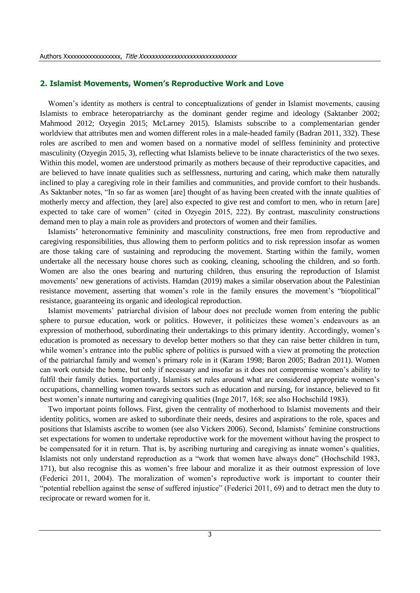### **2. Islamist Movements, Women's Reproductive Work and Love**

Women's identity as mothers is central to conceptualizations of gender in Islamist movements, causing Islamists to embrace heteropatriarchy as the dominant gender regime and ideology (Saktanber 2002; Mahmood 2012; Ozyegin 2015; McLarney 2015). Islamists subscribe to a complementarian gender worldview that attributes men and women different roles in a male-headed family (Badran 2011, 332). These roles are ascribed to men and women based on a normative model of selfless femininity and protective masculinity (Ozyegin 2015, 3), reflecting what Islamists believe to be innate characteristics of the two sexes. Within this model, women are understood primarily as mothers because of their reproductive capacities, and are believed to have innate qualities such as selflessness, nurturing and caring, which make them naturally inclined to play a caregiving role in their families and communities, and provide comfort to their husbands. As Saktanber notes, "In so far as women [are] thought of as having been created with the innate qualities of motherly mercy and affection, they [are] also expected to give rest and comfort to men, who in return [are] expected to take care of women" (cited in Ozyegin 2015, 222). By contrast, masculinity constructions demand men to play a main role as providers and protectors of women and their families.

Islamists' heteronormative femininity and masculinity constructions, free men from reproductive and caregiving responsibilities, thus allowing them to perform politics and to risk repression insofar as women are those taking care of sustaining and reproducing the movement. Starting within the family, women undertake all the necessary house chores such as cooking, cleaning, schooling the children, and so forth. Women are also the ones bearing and nurturing children, thus ensuring the reproduction of Islamist movements' new generations of activists. Hamdan (2019) makes a similar observation about the Palestinian resistance movement, asserting that women's role in the family ensures the movement's "biopolitical" resistance, guaranteeing its organic and ideological reproduction.

Islamist movements' patriarchal division of labour does not preclude women from entering the public sphere to pursue education, work or politics. However, it politicizes these women's endeavours as an expression of motherhood, subordinating their undertakings to this primary identity. Accordingly, women's education is promoted as necessary to develop better mothers so that they can raise better children in turn, while women's entrance into the public sphere of politics is pursued with a view at promoting the protection of the patriarchal family and women's primary role in it (Karam 1998; Baron 2005; Badran 2011). Women can work outside the home, but only if necessary and insofar as it does not compromise women's ability to fulfil their family duties. Importantly, Islamists set rules around what are considered appropriate women's occupations, channelling women towards sectors such as education and nursing, for instance, believed to fit best women's innate nurturing and caregiving qualities (Inge 2017, 168; see also Hochschild 1983).

Two important points follows. First, given the centrality of motherhood to Islamist movements and their identity politics, women are asked to subordinate their needs, desires and aspirations to the role, spaces and positions that Islamists ascribe to women (see also Vickers 2006). Second, Islamists' feminine constructions set expectations for women to undertake reproductive work for the movement without having the prospect to be compensated for it in return. That is, by ascribing nurturing and caregiving as innate women's qualities, Islamists not only understand reproduction as a "work that women have always done" (Hochschild 1983, 171), but also recognise this as women's free labour and moralize it as their outmost expression of love (Federici 2011, 2004). The moralization of women's reproductive work is important to counter their "potential rebellion against the sense of suffered injustice" (Federici 2011, 69) and to detract men the duty to reciprocate or reward women for it.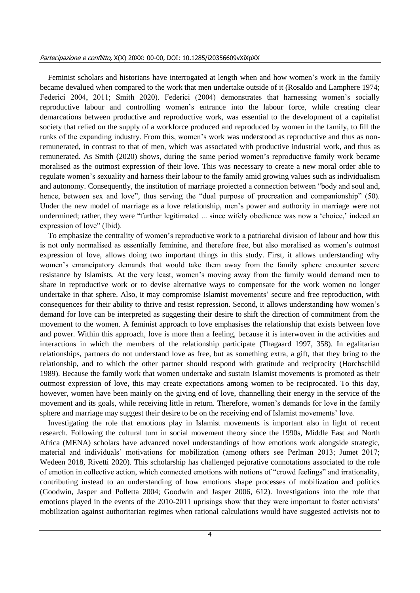Feminist scholars and historians have interrogated at length when and how women's work in the family became devalued when compared to the work that men undertake outside of it (Rosaldo and Lamphere 1974; Federici 2004, 2011; Smith 2020). Federici (2004) demonstrates that harnessing women's socially reproductive labour and controlling women's entrance into the labour force, while creating clear demarcations between productive and reproductive work, was essential to the development of a capitalist society that relied on the supply of a workforce produced and reproduced by women in the family, to fill the ranks of the expanding industry. From this, women's work was understood as reproductive and thus as nonremunerated, in contrast to that of men, which was associated with productive industrial work, and thus as remunerated. As Smith (2020) shows, during the same period women's reproductive family work became moralised as the outmost expression of their love. This was necessary to create a new moral order able to regulate women's sexuality and harness their labour to the family amid growing values such as individualism and autonomy. Consequently, the institution of marriage projected a connection between "body and soul and, hence, between sex and love", thus serving the "dual purpose of procreation and companionship" (50). Under the new model of marriage as a love relationship, men's power and authority in marriage were not undermined; rather, they were "further legitimated ... since wifely obedience was now a 'choice,' indeed an expression of love" (Ibid).

To emphasize the centrality of women's reproductive work to a patriarchal division of labour and how this is not only normalised as essentially feminine, and therefore free, but also moralised as women's outmost expression of love, allows doing two important things in this study. First, it allows understanding why women's emancipatory demands that would take them away from the family sphere encounter severe resistance by Islamists. At the very least, women's moving away from the family would demand men to share in reproductive work or to devise alternative ways to compensate for the work women no longer undertake in that sphere. Also, it may compromise Islamist movements' secure and free reproduction, with consequences for their ability to thrive and resist repression. Second, it allows understanding how women's demand for love can be interpreted as suggesting their desire to shift the direction of commitment from the movement to the women. A feminist approach to love emphasises the relationship that exists between love and power. Within this approach, love is more than a feeling, because it is interwoven in the activities and interactions in which the members of the relationship participate (Thagaard 1997, 358). In egalitarian relationships, partners do not understand love as free, but as something extra, a gift, that they bring to the relationship, and to which the other partner should respond with gratitude and reciprocity (Horchschild 1989). Because the family work that women undertake and sustain Islamist movements is promoted as their outmost expression of love, this may create expectations among women to be reciprocated. To this day, however, women have been mainly on the giving end of love, channelling their energy in the service of the movement and its goals, while receiving little in return. Therefore, women's demands for love in the family sphere and marriage may suggest their desire to be on the receiving end of Islamist movements' love.

Investigating the role that emotions play in Islamist movements is important also in light of recent research. Following the cultural turn in social movement theory since the 1990s, Middle East and North Africa (MENA) scholars have advanced novel understandings of how emotions work alongside strategic, material and individuals' motivations for mobilization (among others see Perlman 2013; Jumet 2017; Wedeen 2018, Rivetti 2020). This scholarship has challenged pejorative connotations associated to the role of emotion in collective action, which connected emotions with notions of "crowd feelings" and irrationality, contributing instead to an understanding of how emotions shape processes of mobilization and politics (Goodwin, Jasper and Polletta 2004; Goodwin and Jasper 2006, 612). Investigations into the role that emotions played in the events of the 2010-2011 uprisings show that they were important to foster activists' mobilization against authoritarian regimes when rational calculations would have suggested activists not to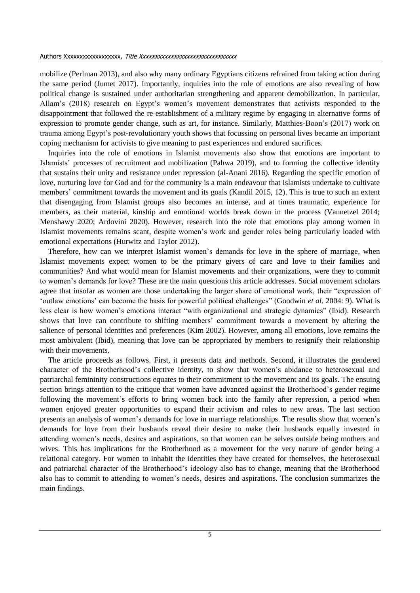mobilize (Perlman 2013), and also why many ordinary Egyptians citizens refrained from taking action during the same period (Jumet 2017). Importantly, inquiries into the role of emotions are also revealing of how political change is sustained under authoritarian strengthening and apparent demobilization. In particular, Allam's (2018) research on Egypt's women's movement demonstrates that activists responded to the disappointment that followed the re-establishment of a military regime by engaging in alternative forms of expression to promote gender change, such as art, for instance. Similarly, Matthies-Boon's (2017) work on trauma among Egypt's post-revolutionary youth shows that focussing on personal lives became an important coping mechanism for activists to give meaning to past experiences and endured sacrifices.

Inquiries into the role of emotions in Islamist movements also show that emotions are important to Islamists' processes of recruitment and mobilization (Pahwa 2019), and to forming the collective identity that sustains their unity and resistance under repression (al-Anani 2016). Regarding the specific emotion of love, nurturing love for God and for the community is a main endeavour that Islamists undertake to cultivate members' commitment towards the movement and its goals (Kandil 2015, 12). This is true to such an extent that disengaging from Islamist groups also becomes an intense, and at times traumatic, experience for members, as their material, kinship and emotional worlds break down in the process (Vannetzel 2014; Menshawy 2020; Ardovini 2020). However, research into the role that emotions play among women in Islamist movements remains scant, despite women's work and gender roles being particularly loaded with emotional expectations (Hurwitz and Taylor 2012).

Therefore, how can we interpret Islamist women's demands for love in the sphere of marriage, when Islamist movements expect women to be the primary givers of care and love to their families and communities? And what would mean for Islamist movements and their organizations, were they to commit to women's demands for love? These are the main questions this article addresses. Social movement scholars agree that insofar as women are those undertaking the larger share of emotional work, their "expression of 'outlaw emotions' can become the basis for powerful political challenges" (Goodwin *et al*. 2004: 9). What is less clear is how women's emotions interact "with organizational and strategic dynamics" (Ibid). Research shows that love can contribute to shifting members' commitment towards a movement by altering the salience of personal identities and preferences (Kim 2002). However, among all emotions, love remains the most ambivalent (Ibid), meaning that love can be appropriated by members to resignify their relationship with their movements.

The article proceeds as follows. First, it presents data and methods. Second, it illustrates the gendered character of the Brotherhood's collective identity, to show that women's abidance to heterosexual and patriarchal femininity constructions equates to their commitment to the movement and its goals. The ensuing section brings attention to the critique that women have advanced against the Brotherhood's gender regime following the movement's efforts to bring women back into the family after repression, a period when women enjoyed greater opportunities to expand their activism and roles to new areas. The last section presents an analysis of women's demands for love in marriage relationships. The results show that women's demands for love from their husbands reveal their desire to make their husbands equally invested in attending women's needs, desires and aspirations, so that women can be selves outside being mothers and wives. This has implications for the Brotherhood as a movement for the very nature of gender being a relational category. For women to inhabit the identities they have created for themselves, the heterosexual and patriarchal character of the Brotherhood's ideology also has to change, meaning that the Brotherhood also has to commit to attending to women's needs, desires and aspirations. The conclusion summarizes the main findings.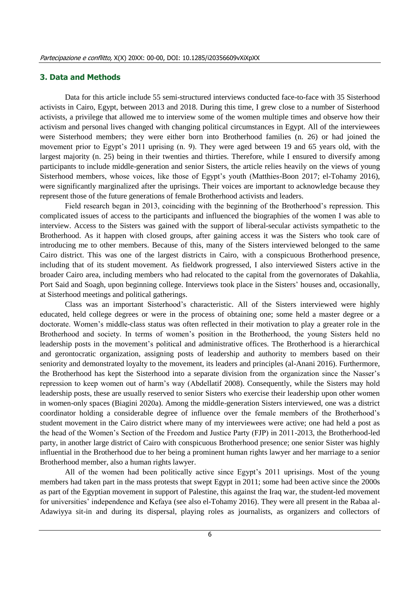### **3. Data and Methods**

Data for this article include 55 semi-structured interviews conducted face-to-face with 35 Sisterhood activists in Cairo, Egypt, between 2013 and 2018. During this time, I grew close to a number of Sisterhood activists, a privilege that allowed me to interview some of the women multiple times and observe how their activism and personal lives changed with changing political circumstances in Egypt. All of the interviewees were Sisterhood members; they were either born into Brotherhood families (n. 26) or had joined the movement prior to Egypt's 2011 uprising (n. 9). They were aged between 19 and 65 years old, with the largest majority (n. 25) being in their twenties and thirties. Therefore, while I ensured to diversify among participants to include middle-generation and senior Sisters, the article relies heavily on the views of young Sisterhood members, whose voices, like those of Egypt's youth (Matthies-Boon 2017; el-Tohamy 2016), were significantly marginalized after the uprisings. Their voices are important to acknowledge because they represent those of the future generations of female Brotherhood activists and leaders.

Field research began in 2013, coinciding with the beginning of the Brotherhood's repression. This complicated issues of access to the participants and influenced the biographies of the women I was able to interview. Access to the Sisters was gained with the support of liberal-secular activists sympathetic to the Brotherhood. As it happen with closed groups, after gaining access it was the Sisters who took care of introducing me to other members. Because of this, many of the Sisters interviewed belonged to the same Cairo district. This was one of the largest districts in Cairo, with a conspicuous Brotherhood presence, including that of its student movement. As fieldwork progressed, I also interviewed Sisters active in the broader Cairo area, including members who had relocated to the capital from the governorates of Dakahlia, Port Said and Soagh, upon beginning college. Interviews took place in the Sisters' houses and, occasionally, at Sisterhood meetings and political gatherings.

Class was an important Sisterhood's characteristic. All of the Sisters interviewed were highly educated, held college degrees or were in the process of obtaining one; some held a master degree or a doctorate. Women's middle-class status was often reflected in their motivation to play a greater role in the Brotherhood and society. In terms of women's position in the Brotherhood, the young Sisters held no leadership posts in the movement's political and administrative offices. The Brotherhood is a hierarchical and gerontocratic organization, assigning posts of leadership and authority to members based on their seniority and demonstrated loyalty to the movement, its leaders and principles (al-Anani 2016). Furthermore, the Brotherhood has kept the Sisterhood into a separate division from the organization since the Nasser's repression to keep women out of harm's way (Abdellatif 2008). Consequently, while the Sisters may hold leadership posts, these are usually reserved to senior Sisters who exercise their leadership upon other women in women-only spaces (Biagini 2020a). Among the middle-generation Sisters interviewed, one was a district coordinator holding a considerable degree of influence over the female members of the Brotherhood's student movement in the Cairo district where many of my interviewees were active; one had held a post as the head of the Women's Section of the Freedom and Justice Party (FJP) in 2011-2013, the Brotherhood-led party, in another large district of Cairo with conspicuous Brotherhood presence; one senior Sister was highly influential in the Brotherhood due to her being a prominent human rights lawyer and her marriage to a senior Brotherhood member, also a human rights lawyer.

All of the women had been politically active since Egypt's 2011 uprisings. Most of the young members had taken part in the mass protests that swept Egypt in 2011; some had been active since the 2000s as part of the Egyptian movement in support of Palestine, this against the Iraq war, the student-led movement for universities' independence and Kefaya (see also el-Tohamy 2016). They were all present in the Rabaa al-Adawiyya sit-in and during its dispersal, playing roles as journalists, as organizers and collectors of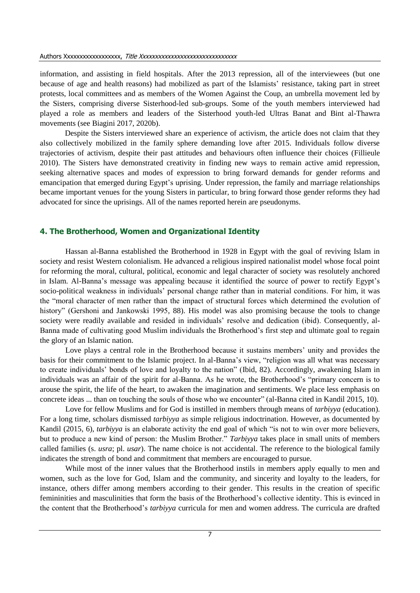information, and assisting in field hospitals. After the 2013 repression, all of the interviewees (but one because of age and health reasons) had mobilized as part of the Islamists' resistance, taking part in street protests, local committees and as members of the Women Against the Coup, an umbrella movement led by the Sisters, comprising diverse Sisterhood-led sub-groups. Some of the youth members interviewed had played a role as members and leaders of the Sisterhood youth-led Ultras Banat and Bint al-Thawra movements (see Biagini 2017, 2020b).

Despite the Sisters interviewed share an experience of activism, the article does not claim that they also collectively mobilized in the family sphere demanding love after 2015. Individuals follow diverse trajectories of activism, despite their past attitudes and behaviours often influence their choices (Fillieule 2010). The Sisters have demonstrated creativity in finding new ways to remain active amid repression, seeking alternative spaces and modes of expression to bring forward demands for gender reforms and emancipation that emerged during Egypt's uprising. Under repression, the family and marriage relationships became important venues for the young Sisters in particular, to bring forward those gender reforms they had advocated for since the uprisings. All of the names reported herein are pseudonyms.

### **4. The Brotherhood, Women and Organizational Identity**

Hassan al-Banna established the Brotherhood in 1928 in Egypt with the goal of reviving Islam in society and resist Western colonialism. He advanced a religious inspired nationalist model whose focal point for reforming the moral, cultural, political, economic and legal character of society was resolutely anchored in Islam. Al-Banna's message was appealing because it identified the source of power to rectify Egypt's socio-political weakness in individuals' personal change rather than in material conditions. For him, it was the "moral character of men rather than the impact of structural forces which determined the evolution of history" (Gershoni and Jankowski 1995, 88). His model was also promising because the tools to change society were readily available and resided in individuals' resolve and dedication (ibid). Consequently, al-Banna made of cultivating good Muslim individuals the Brotherhood's first step and ultimate goal to regain the glory of an Islamic nation.

Love plays a central role in the Brotherhood because it sustains members' unity and provides the basis for their commitment to the Islamic project. In al-Banna's view, "religion was all what was necessary to create individuals' bonds of love and loyalty to the nation" (Ibid, 82). Accordingly, awakening Islam in individuals was an affair of the spirit for al-Banna. As he wrote, the Brotherhood's "primary concern is to arouse the spirit, the life of the heart, to awaken the imagination and sentiments. We place less emphasis on concrete ideas ... than on touching the souls of those who we encounter" (al-Banna cited in Kandil 2015, 10).

Love for fellow Muslims and for God is instilled in members through means of *tarbiyya* (education). For a long time, scholars dismissed *tarbiyya* as simple religious indoctrination. However, as documented by Kandil (2015, 6), *tarbiyya* is an elaborate activity the end goal of which "is not to win over more believers, but to produce a new kind of person: the Muslim Brother." *Tarbiyya* takes place in small units of members called families (s. *usra*; pl. *usar*). The name choice is not accidental. The reference to the biological family indicates the strength of bond and commitment that members are encouraged to pursue.

While most of the inner values that the Brotherhood instils in members apply equally to men and women, such as the love for God, Islam and the community, and sincerity and loyalty to the leaders, for instance, others differ among members according to their gender. This results in the creation of specific femininities and masculinities that form the basis of the Brotherhood's collective identity. This is evinced in the content that the Brotherhood's *tarbiyya* curricula for men and women address. The curricula are drafted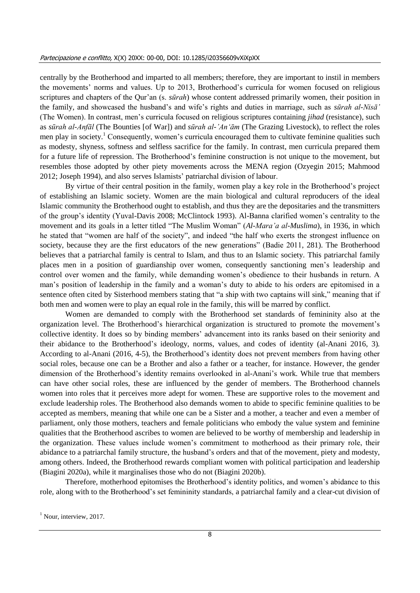centrally by the Brotherhood and imparted to all members; therefore, they are important to instil in members the movements' norms and values. Up to 2013, Brotherhood's curricula for women focused on religious scriptures and chapters of the Qur'an (s. *sūrah*) whose content addressed primarily women, their position in the family, and showcased the husband's and wife's rights and duties in marriage, such as *sūrah al-Nisā'* (The Women). In contrast, men's curricula focused on religious scriptures containing *jihad* (resistance), such as *sūrah al-Anfāl* (The Bounties [of War]) and *sūrah al-'An'ām* (The Grazing Livestock), to reflect the roles men play in society.<sup>1</sup> Consequently, women's curricula encouraged them to cultivate feminine qualities such as modesty, shyness, softness and selfless sacrifice for the family. In contrast, men curricula prepared them for a future life of repression. The Brotherhood's feminine construction is not unique to the movement, but resembles those adopted by other piety movements across the MENA region (Ozyegin 2015; Mahmood 2012; Joseph 1994), and also serves Islamists' patriarchal division of labour.

By virtue of their central position in the family, women play a key role in the Brotherhood's project of establishing an Islamic society. Women are the main biological and cultural reproducers of the ideal Islamic community the Brotherhood ought to establish, and thus they are the depositaries and the transmitters of the group's identity (Yuval-Davis 2008; McClintock 1993). Al-Banna clarified women's centrality to the movement and its goals in a letter titled "The Muslim Woman" (*Al-Mara'a al-Muslima*), in 1936, in which he stated that "women are half of the society", and indeed "the half who exerts the strongest influence on society, because they are the first educators of the new generations" (Badie 2011, 281). The Brotherhood believes that a patriarchal family is central to Islam, and thus to an Islamic society. This patriarchal family places men in a position of guardianship over women, consequently sanctioning men's leadership and control over women and the family, while demanding women's obedience to their husbands in return. A man's position of leadership in the family and a woman's duty to abide to his orders are epitomised in a sentence often cited by Sisterhood members stating that "a ship with two captains will sink," meaning that if both men and women were to play an equal role in the family, this will be marred by conflict.

Women are demanded to comply with the Brotherhood set standards of femininity also at the organization level. The Brotherhood's hierarchical organization is structured to promote the movement's collective identity. It does so by binding members' advancement into its ranks based on their seniority and their abidance to the Brotherhood's ideology, norms, values, and codes of identity (al-Anani 2016, 3)*.* According to al-Anani (2016, 4-5), the Brotherhood's identity does not prevent members from having other social roles, because one can be a Brother and also a father or a teacher, for instance. However, the gender dimension of the Brotherhood's identity remains overlooked in al-Anani's work. While true that members can have other social roles, these are influenced by the gender of members. The Brotherhood channels women into roles that it perceives more adept for women. These are supportive roles to the movement and exclude leadership roles. The Brotherhood also demands women to abide to specific feminine qualities to be accepted as members, meaning that while one can be a Sister and a mother, a teacher and even a member of parliament, only those mothers, teachers and female politicians who embody the value system and feminine qualities that the Brotherhood ascribes to women are believed to be worthy of membership and leadership in the organization. These values include women's commitment to motherhood as their primary role, their abidance to a patriarchal family structure, the husband's orders and that of the movement, piety and modesty, among others. Indeed, the Brotherhood rewards compliant women with political participation and leadership (Biagini 2020a), while it marginalises those who do not (Biagini 2020b).

Therefore, motherhood epitomises the Brotherhood's identity politics, and women's abidance to this role, along with to the Brotherhood's set femininity standards, a patriarchal family and a clear-cut division of

 $<sup>1</sup>$  Nour, interview, 2017.</sup>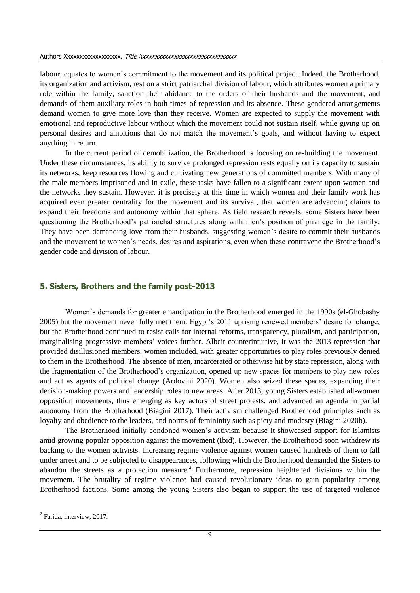#### Authors Xxxxxxxxxxxxxxxxxx, Title Xxxxxxxxxxxxxxxxxxxxxxxxxxxxxxx

labour, equates to women's commitment to the movement and its political project. Indeed, the Brotherhood, its organization and activism, rest on a strict patriarchal division of labour, which attributes women a primary role within the family, sanction their abidance to the orders of their husbands and the movement, and demands of them auxiliary roles in both times of repression and its absence. These gendered arrangements demand women to give more love than they receive. Women are expected to supply the movement with emotional and reproductive labour without which the movement could not sustain itself, while giving up on personal desires and ambitions that do not match the movement's goals, and without having to expect anything in return.

In the current period of demobilization, the Brotherhood is focusing on re-building the movement. Under these circumstances, its ability to survive prolonged repression rests equally on its capacity to sustain its networks, keep resources flowing and cultivating new generations of committed members. With many of the male members imprisoned and in exile, these tasks have fallen to a significant extent upon women and the networks they sustain. However, it is precisely at this time in which women and their family work has acquired even greater centrality for the movement and its survival, that women are advancing claims to expand their freedoms and autonomy within that sphere. As field research reveals, some Sisters have been questioning the Brotherhood's patriarchal structures along with men's position of privilege in the family. They have been demanding love from their husbands, suggesting women's desire to commit their husbands and the movement to women's needs, desires and aspirations, even when these contravene the Brotherhood's gender code and division of labour.

### **5. Sisters, Brothers and the family post-2013**

Women's demands for greater emancipation in the Brotherhood emerged in the 1990s (el-Ghobashy 2005) but the movement never fully met them. Egypt's 2011 uprising renewed members' desire for change, but the Brotherhood continued to resist calls for internal reforms, transparency, pluralism, and participation, marginalising progressive members' voices further. Albeit counterintuitive, it was the 2013 repression that provided disillusioned members, women included, with greater opportunities to play roles previously denied to them in the Brotherhood. The absence of men, incarcerated or otherwise hit by state repression, along with the fragmentation of the Brotherhood's organization, opened up new spaces for members to play new roles and act as agents of political change (Ardovini 2020). Women also seized these spaces, expanding their decision-making powers and leadership roles to new areas. After 2013, young Sisters established all-women opposition movements, thus emerging as key actors of street protests, and advanced an agenda in partial autonomy from the Brotherhood (Biagini 2017). Their activism challenged Brotherhood principles such as loyalty and obedience to the leaders, and norms of femininity such as piety and modesty (Biagini 2020b).

The Brotherhood initially condoned women's activism because it showcased support for Islamists amid growing popular opposition against the movement (Ibid). However, the Brotherhood soon withdrew its backing to the women activists. Increasing regime violence against women caused hundreds of them to fall under arrest and to be subjected to disappearances, following which the Brotherhood demanded the Sisters to abandon the streets as a protection measure. 2 Furthermore, repression heightened divisions within the movement. The brutality of regime violence had caused revolutionary ideas to gain popularity among Brotherhood factions. Some among the young Sisters also began to support the use of targeted violence

 $2$  Farida, interview, 2017.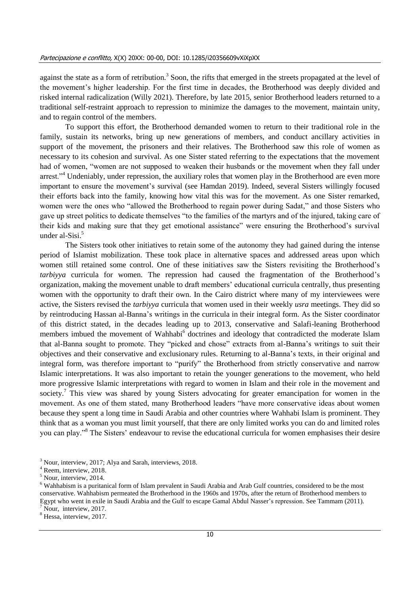against the state as a form of retribution.<sup>3</sup> Soon, the rifts that emerged in the streets propagated at the level of the movement's higher leadership. For the first time in decades, the Brotherhood was deeply divided and risked internal radicalization (Willy 2021). Therefore, by late 2015, senior Brotherhood leaders returned to a traditional self-restraint approach to repression to minimize the damages to the movement, maintain unity, and to regain control of the members.

To support this effort, the Brotherhood demanded women to return to their traditional role in the family, sustain its networks, bring up new generations of members, and conduct ancillary activities in support of the movement, the prisoners and their relatives. The Brotherhood saw this role of women as necessary to its cohesion and survival. As one Sister stated referring to the expectations that the movement had of women, "women are not supposed to weaken their husbands or the movement when they fall under arrest."<sup>4</sup> Undeniably, under repression, the auxiliary roles that women play in the Brotherhood are even more important to ensure the movement's survival (see Hamdan 2019). Indeed, several Sisters willingly focused their efforts back into the family, knowing how vital this was for the movement. As one Sister remarked, women were the ones who "allowed the Brotherhood to regain power during Sadat," and those Sisters who gave up street politics to dedicate themselves "to the families of the martyrs and of the injured, taking care of their kids and making sure that they get emotional assistance" were ensuring the Brotherhood's survival under al-Sisi. 5

The Sisters took other initiatives to retain some of the autonomy they had gained during the intense period of Islamist mobilization. These took place in alternative spaces and addressed areas upon which women still retained some control. One of these initiatives saw the Sisters revisiting the Brotherhood's *tarbiyya* curricula for women. The repression had caused the fragmentation of the Brotherhood's organization, making the movement unable to draft members' educational curricula centrally, thus presenting women with the opportunity to draft their own. In the Cairo district where many of my interviewees were active, the Sisters revised the *tarbiyya* curricula that women used in their weekly *usra* meetings. They did so by reintroducing Hassan al-Banna's writings in the curricula in their integral form. As the Sister coordinator of this district stated, in the decades leading up to 2013, conservative and Salafi-leaning Brotherhood members imbued the movement of Wahhabi<sup>6</sup> doctrines and ideology that contradicted the moderate Islam that al-Banna sought to promote. They "picked and chose" extracts from al-Banna's writings to suit their objectives and their conservative and exclusionary rules. Returning to al-Banna's texts, in their original and integral form, was therefore important to "purify" the Brotherhood from strictly conservative and narrow Islamic interpretations. It was also important to retain the younger generations to the movement, who held more progressive Islamic interpretations with regard to women in Islam and their role in the movement and society.<sup>7</sup> This view was shared by young Sisters advocating for greater emancipation for women in the movement. As one of them stated, many Brotherhood leaders "have more conservative ideas about women because they spent a long time in Saudi Arabia and other countries where Wahhabi Islam is prominent. They think that as a woman you must limit yourself, that there are only limited works you can do and limited roles you can play."<sup>8</sup> The Sisters' endeavour to revise the educational curricula for women emphasises their desire

<sup>8</sup> Hessa, interview, 2017.

 $3$  Nour, interview, 2017; Alva and Sarah, interviews, 2018.

<sup>&</sup>lt;sup>4</sup> Reem, interview, 2018.

 $5$  Nour, interview, 2014.

<sup>&</sup>lt;sup>6</sup> Wahhabism is a puritanical form of Islam prevalent in Saudi Arabia and Arab Gulf countries, considered to be the most conservative. Wahhabism permeated the Brotherhood in the 1960s and 1970s, after the return of Brotherhood members to Egypt who went in exile in Saudi Arabia and the Gulf to escape Gamal Abdul Nasser's repression. See Tammam (2011)*.* Nour, interview, 2017.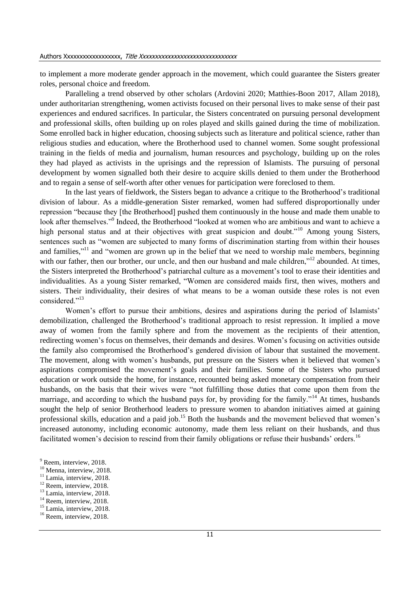to implement a more moderate gender approach in the movement, which could guarantee the Sisters greater roles, personal choice and freedom.

Paralleling a trend observed by other scholars (Ardovini 2020; Matthies-Boon 2017, Allam 2018), under authoritarian strengthening, women activists focused on their personal lives to make sense of their past experiences and endured sacrifices. In particular, the Sisters concentrated on pursuing personal development and professional skills, often building up on roles played and skills gained during the time of mobilization. Some enrolled back in higher education, choosing subjects such as literature and political science, rather than religious studies and education, where the Brotherhood used to channel women. Some sought professional training in the fields of media and journalism, human resources and psychology, building up on the roles they had played as activists in the uprisings and the repression of Islamists. The pursuing of personal development by women signalled both their desire to acquire skills denied to them under the Brotherhood and to regain a sense of self-worth after other venues for participation were foreclosed to them.

In the last years of fieldwork, the Sisters began to advance a critique to the Brotherhood's traditional division of labour. As a middle-generation Sister remarked, women had suffered disproportionally under repression "because they [the Brotherhood] pushed them continuously in the house and made them unable to look after themselves."<sup>9</sup> Indeed, the Brotherhood "looked at women who are ambitious and want to achieve a high personal status and at their objectives with great suspicion and doubt."<sup>10</sup> Among young Sisters, sentences such as "women are subjected to many forms of discrimination starting from within their houses and families,"<sup>11</sup> and "women are grown up in the belief that we need to worship male members, beginning with our father, then our brother, our uncle, and then our husband and male children,"<sup>12</sup> abounded. At times, the Sisters interpreted the Brotherhood's patriarchal culture as a movement's tool to erase their identities and individualities. As a young Sister remarked, "Women are considered maids first, then wives, mothers and sisters. Their individuality, their desires of what means to be a woman outside these roles is not even considered."<sup>13</sup>

Women's effort to pursue their ambitions, desires and aspirations during the period of Islamists' demobilization, challenged the Brotherhood's traditional approach to resist repression. It implied a move away of women from the family sphere and from the movement as the recipients of their attention, redirecting women's focus on themselves, their demands and desires. Women's focusing on activities outside the family also compromised the Brotherhood's gendered division of labour that sustained the movement. The movement, along with women's husbands, put pressure on the Sisters when it believed that women's aspirations compromised the movement's goals and their families. Some of the Sisters who pursued education or work outside the home, for instance, recounted being asked monetary compensation from their husbands, on the basis that their wives were "not fulfilling those duties that come upon them from the marriage, and according to which the husband pays for, by providing for the family."<sup>14</sup> At times, husbands sought the help of senior Brotherhood leaders to pressure women to abandon initiatives aimed at gaining professional skills, education and a paid job.<sup>15</sup> Both the husbands and the movement believed that women's increased autonomy, including economic autonomy, made them less reliant on their husbands, and thus facilitated women's decision to rescind from their family obligations or refuse their husbands' orders.<sup>16</sup>

- $11$  Lamia, interview, 2018.
- <sup>12</sup> Reem, interview, 2018.
- <sup>13</sup> Lamia, interview, 2018.  $14$  Reem, interview, 2018.
- 
- <sup>15</sup> Lamia, interview, 2018.

<sup>&</sup>lt;sup>9</sup> Reem, interview, 2018.

<sup>&</sup>lt;sup>10</sup> Menna, interview, 2018.

<sup>&</sup>lt;sup>16</sup> Reem. interview, 2018.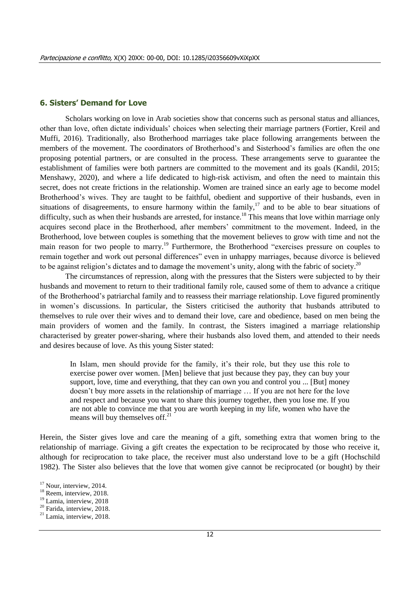### **6. Sisters' Demand for Love**

Scholars working on love in Arab societies show that concerns such as personal status and alliances, other than love, often dictate individuals' choices when selecting their marriage partners (Fortier, Kreil and Muffi, 2016). Traditionally, also Brotherhood marriages take place following arrangements between the members of the movement. The coordinators of Brotherhood's and Sisterhood's families are often the one proposing potential partners, or are consulted in the process. These arrangements serve to guarantee the establishment of families were both partners are committed to the movement and its goals (Kandil, 2015; Menshawy, 2020), and where a life dedicated to high-risk activism, and often the need to maintain this secret, does not create frictions in the relationship. Women are trained since an early age to become model Brotherhood's wives. They are taught to be faithful, obedient and supportive of their husbands, even in situations of disagreements, to ensure harmony within the family, $17$  and to be able to bear situations of difficulty, such as when their husbands are arrested, for instance.<sup>18</sup> This means that love within marriage only acquires second place in the Brotherhood, after members' commitment to the movement. Indeed, in the Brotherhood, love between couples is something that the movement believes to grow with time and not the main reason for two people to marry.<sup>19</sup> Furthermore, the Brotherhood "exercises pressure on couples to remain together and work out personal differences" even in unhappy marriages, because divorce is believed to be against religion's dictates and to damage the movement's unity, along with the fabric of society.<sup>20</sup>

The circumstances of repression, along with the pressures that the Sisters were subjected to by their husbands and movement to return to their traditional family role, caused some of them to advance a critique of the Brotherhood's patriarchal family and to reassess their marriage relationship. Love figured prominently in women's discussions. In particular, the Sisters criticised the authority that husbands attributed to themselves to rule over their wives and to demand their love, care and obedience, based on men being the main providers of women and the family. In contrast, the Sisters imagined a marriage relationship characterised by greater power-sharing, where their husbands also loved them, and attended to their needs and desires because of love. As this young Sister stated:

In Islam, men should provide for the family, it's their role, but they use this role to exercise power over women. [Men] believe that just because they pay, they can buy your support, love, time and everything, that they can own you and control you ... [But] money doesn't buy more assets in the relationship of marriage … If you are not here for the love and respect and because you want to share this journey together, then you lose me. If you are not able to convince me that you are worth keeping in my life, women who have the means will buy themselves off. $^{21}$ 

Herein, the Sister gives love and care the meaning of a gift, something extra that women bring to the relationship of marriage. Giving a gift creates the expectation to be reciprocated by those who receive it, although for reciprocation to take place, the receiver must also understand love to be a gift (Hochschild 1982). The Sister also believes that the love that women give cannot be reciprocated (or bought) by their

<sup>&</sup>lt;sup>17</sup> Nour, interview, 2014.

<sup>&</sup>lt;sup>18</sup> Reem, interview, 2018.

<sup>&</sup>lt;sup>19</sup> Lamia, interview, 2018

<sup>&</sup>lt;sup>20</sup> Farida, interview, 2018.

<sup>&</sup>lt;sup>21</sup> Lamia, interview, 2018.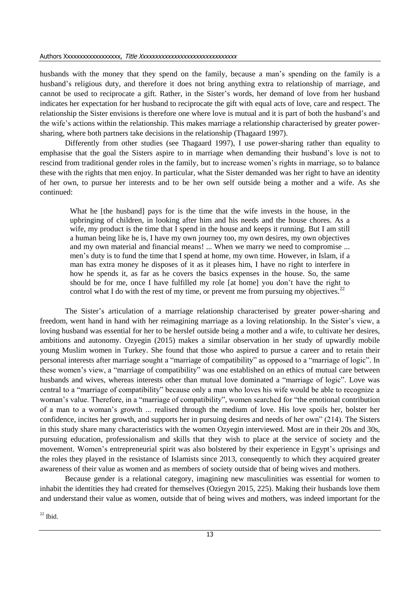#### Authors Xxxxxxxxxxxxxxxxxx, Title Xxxxxxxxxxxxxxxxxxxxxxxxxxxxxxx

husbands with the money that they spend on the family, because a man's spending on the family is a husband's religious duty, and therefore it does not bring anything extra to relationship of marriage, and cannot be used to reciprocate a gift. Rather, in the Sister's words, her demand of love from her husband indicates her expectation for her husband to reciprocate the gift with equal acts of love, care and respect. The relationship the Sister envisions is therefore one where love is mutual and it is part of both the husband's and the wife's actions within the relationship. This makes marriage a relationship characterised by greater powersharing, where both partners take decisions in the relationship (Thagaard 1997).

Differently from other studies (see Thagaard 1997), I use power-sharing rather than equality to emphasise that the goal the Sisters aspire to in marriage when demanding their husband's love is not to rescind from traditional gender roles in the family, but to increase women's rights in marriage, so to balance these with the rights that men enjoy. In particular, what the Sister demanded was her right to have an identity of her own, to pursue her interests and to be her own self outside being a mother and a wife. As she continued:

What he [the husband] pays for is the time that the wife invests in the house, in the upbringing of children, in looking after him and his needs and the house chores. As a wife, my product is the time that I spend in the house and keeps it running. But I am still a human being like he is, I have my own journey too, my own desires, my own objectives and my own material and financial means! ... When we marry we need to compromise ... men's duty is to fund the time that I spend at home, my own time. However, in Islam, if a man has extra money he disposes of it as it pleases him, I have no right to interfere in how he spends it, as far as he covers the basics expenses in the house. So, the same should be for me, once I have fulfilled my role [at home] you don't have the right to control what I do with the rest of my time, or prevent me from pursuing my objectives.<sup>22</sup>

The Sister's articulation of a marriage relationship characterised by greater power-sharing and freedom, went hand in hand with her reimagining marriage as a loving relationship. In the Sister's view, a loving husband was essential for her to be herslef outside being a mother and a wife, to cultivate her desires, ambitions and autonomy. Ozyegin (2015) makes a similar observation in her study of upwardly mobile young Muslim women in Turkey. She found that those who aspired to pursue a career and to retain their personal interests after marriage sought a "marriage of compatibility" as opposed to a "marriage of logic". In these women's view, a "marriage of compatibility" was one established on an ethics of mutual care between husbands and wives, whereas interests other than mutual love dominated a "marriage of logic". Love was central to a "marriage of compatibility" because only a man who loves his wife would be able to recognize a woman's value. Therefore, in a "marriage of compatibility", women searched for "the emotional contribution of a man to a woman's growth ... realised through the medium of love. His love spoils her, bolster her confidence, incites her growth, and supports her in pursuing desires and needs of her own" (214). The Sisters in this study share many characteristics with the women Ozyegin interviewed. Most are in their 20s and 30s, pursuing education, professionalism and skills that they wish to place at the service of society and the movement. Women's entrepreneurial spirit was also bolstered by their experience in Egypt's uprisings and the roles they played in the resistance of Islamists since 2013, consequently to which they acquired greater awareness of their value as women and as members of society outside that of being wives and mothers.

Because gender is a relational category, imagining new masculinities was essential for women to inhabit the identities they had created for themselves (Oziegyn 2015, 225). Making their husbands love them and understand their value as women, outside that of being wives and mothers, was indeed important for the

 $^{22}$  Ibid.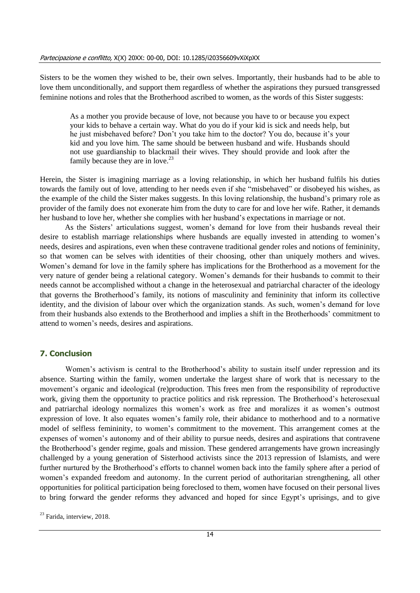Sisters to be the women they wished to be, their own selves. Importantly, their husbands had to be able to love them unconditionally, and support them regardless of whether the aspirations they pursued transgressed feminine notions and roles that the Brotherhood ascribed to women, as the words of this Sister suggests:

As a mother you provide because of love, not because you have to or because you expect your kids to behave a certain way. What do you do if your kid is sick and needs help, but he just misbehaved before? Don't you take him to the doctor? You do, because it's your kid and you love him. The same should be between husband and wife. Husbands should not use guardianship to blackmail their wives. They should provide and look after the family because they are in love.<sup>23</sup>

Herein, the Sister is imagining marriage as a loving relationship, in which her husband fulfils his duties towards the family out of love, attending to her needs even if she "misbehaved" or disobeyed his wishes, as the example of the child the Sister makes suggests. In this loving relationship, the husband's primary role as provider of the family does not exonerate him from the duty to care for and love her wife. Rather, it demands her husband to love her, whether she complies with her husband's expectations in marriage or not.

As the Sisters' articulations suggest, women's demand for love from their husbands reveal their desire to establish marriage relationships where husbands are equally invested in attending to women's needs, desires and aspirations, even when these contravene traditional gender roles and notions of femininity, so that women can be selves with identities of their choosing, other than uniquely mothers and wives. Women's demand for love in the family sphere has implications for the Brotherhood as a movement for the very nature of gender being a relational category. Women's demands for their husbands to commit to their needs cannot be accomplished without a change in the heterosexual and patriarchal character of the ideology that governs the Brotherhood's family, its notions of masculinity and femininity that inform its collective identity, and the division of labour over which the organization stands. As such, women's demand for love from their husbands also extends to the Brotherhood and implies a shift in the Brotherhoods' commitment to attend to women's needs, desires and aspirations.

### **7. Conclusion**

Women's activism is central to the Brotherhood's ability to sustain itself under repression and its absence. Starting within the family, women undertake the largest share of work that is necessary to the movement's organic and ideological (re)production. This frees men from the responsibility of reproductive work, giving them the opportunity to practice politics and risk repression. The Brotherhood's heterosexual and patriarchal ideology normalizes this women's work as free and moralizes it as women's outmost expression of love. It also equates women's family role, their abidance to motherhood and to a normative model of selfless femininity, to women's commitment to the movement. This arrangement comes at the expenses of women's autonomy and of their ability to pursue needs, desires and aspirations that contravene the Brotherhood's gender regime, goals and mission. These gendered arrangements have grown increasingly challenged by a young generation of Sisterhood activists since the 2013 repression of Islamists, and were further nurtured by the Brotherhood's efforts to channel women back into the family sphere after a period of women's expanded freedom and autonomy. In the current period of authoritarian strengthening, all other opportunities for political participation being foreclosed to them, women have focused on their personal lives to bring forward the gender reforms they advanced and hoped for since Egypt's uprisings, and to give

 $23$  Farida, interview, 2018.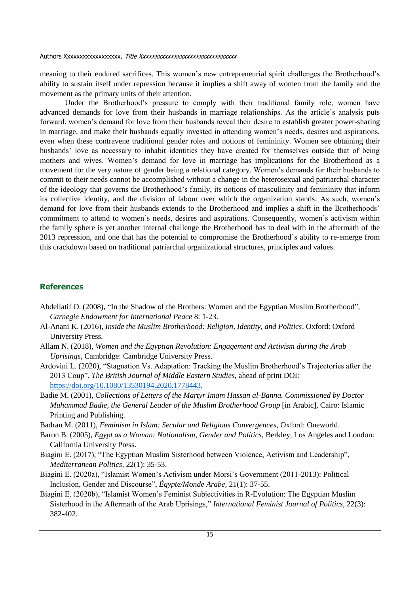meaning to their endured sacrifices. This women's new entrepreneurial spirit challenges the Brotherhood's ability to sustain itself under repression because it implies a shift away of women from the family and the movement as the primary units of their attention.

Under the Brotherhood's pressure to comply with their traditional family role, women have advanced demands for love from their husbands in marriage relationships. As the article's analysis puts forward, women's demand for love from their husbands reveal their desire to establish greater power-sharing in marriage, and make their husbands equally invested in attending women's needs, desires and aspirations, even when these contravene traditional gender roles and notions of femininity. Women see obtaining their husbands' love as necessary to inhabit identities they have created for themselves outside that of being mothers and wives. Women's demand for love in marriage has implications for the Brotherhood as a movement for the very nature of gender being a relational category. Women's demands for their husbands to commit to their needs cannot be accomplished without a change in the heterosexual and patriarchal character of the ideology that governs the Brotherhood's family, its notions of masculinity and femininity that inform its collective identity, and the division of labour over which the organization stands. As such, women's demand for love from their husbands extends to the Brotherhood and implies a shift in the Brotherhoods' commitment to attend to women's needs, desires and aspirations. Consequently, women's activism within the family sphere is yet another internal challenge the Brotherhood has to deal with in the aftermath of the 2013 repression, and one that has the potential to compromise the Brotherhood's ability to re-emerge from this crackdown based on traditional patriarchal organizational structures, principles and values.

### **References**

- Abdellatif O. (2008), "In the Shadow of the Brothers: Women and the Egyptian Muslim Brotherhood", *Carnegie Endowment for International Peace* 8: 1-23.
- Al-Anani K. (2016), *Inside the Muslim Brotherhood: Religion, Identity, and Politics*, Oxford: Oxford University Press.
- Allam N. (2018), *Women and the Egyptian Revolution: Engagement and Activism during the Arab Uprisings*, Cambridge: Cambridge University Press.
- Ardovini L. (2020), "Stagnation Vs. Adaptation: Tracking the Muslim Brotherhood's Trajectories after the 2013 Coup", *The British Journal of Middle Eastern Studies*, ahead of print DOI: [https://doi.org/10.1080/13530194.2020.1778443.](https://doi.org/10.1080/13530194.2020.1778443)
- Badie M. (2001), *Collections of Letters of the Martyr Imam Hassan al-Banna. Commissioned by Doctor Muhammad Badie, the General Leader of the Muslim Brotherhood Group* [in Arabic], Cairo: Islamic Printing and Publishing.
- Badran M. (2011), *Feminism in Islam: Secular and Religious Convergences*, Oxford: Oneworld.
- Baron B. (2005), *Egypt as a Woman: Nationalism, Gender and Politics*, Berkley, Los Angeles and London: California University Press.
- Biagini E. (2017), "The Egyptian Muslim Sisterhood between Violence, Activism and Leadership", *Mediterranean Politics,* 22(1): 35-53.
- Biagini E. (2020a), "Islamist Women's Activism under Morsi's Government (2011-2013): Political Inclusion, Gender and Discourse", *Égypte/Monde Arabe,* 21(1): 37-55.
- Biagini E. (2020b), "Islamist Women's Feminist Subjectivities in R-Evolution: The Egyptian Muslim Sisterhood in the Aftermath of the Arab Uprisings," *International Feminist Journal of Politics,* 22(3): 382-402.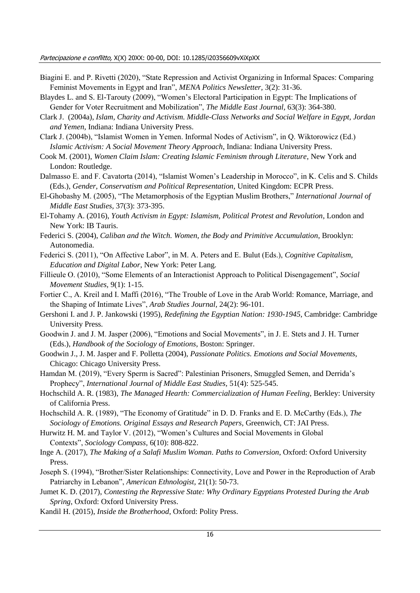- Biagini E. and P. Rivetti (2020), "State Repression and Activist Organizing in Informal Spaces: Comparing Feminist Movements in Egypt and Iran", *MENA Politics Newsletter,* 3(2): 31-36.
- Blaydes L. and S. El-Tarouty (2009), "Women's Electoral Participation in Egypt: The Implications of Gender for Voter Recruitment and Mobilization", *The Middle East Journal,* 63(3): 364-380.
- Clark J. (2004a), *Islam, Charity and Activism. Middle-Class Networks and Social Welfare in Egypt, Jordan and Yemen*, Indiana: Indiana University Press.
- Clark J. (2004b), "Islamist Women in Yemen. Informal Nodes of Activism", in Q. Wiktorowicz (Ed.) *Islamic Activism: A Social Movement Theory Approach*, Indiana: Indiana University Press.
- Cook M. (2001), *Women Claim Islam: Creating Islamic Feminism through Literature*, New York and London: Routledge.
- Dalmasso E. and F. Cavatorta (2014), "Islamist Women's Leadership in Morocco", in K. Celis and S. Childs (Eds.), *Gender, Conservatism and Political Representation*, United Kingdom: ECPR Press.
- El-Ghobashy M. (2005), "The Metamorphosis of the Egyptian Muslim Brothers," *International Journal of Middle East Studies,* 37(3): 373-395.
- El-Tohamy A. (2016), *Youth Activism in Egypt: Islamism, Political Protest and Revolution*, London and New York: IB Tauris.
- Federici S. (2004), *Caliban and the Witch. Women, the Body and Primitive Accumulation*, Brooklyn: Autonomedia.
- Federici S. (2011), "On Affective Labor", in M. A. Peters and E. Bulut (Eds.), *Cognitive Capitalism, Education and Digital Labor*, New York: Peter Lang.
- Fillieule O. (2010), "Some Elements of an Interactionist Approach to Political Disengagement", *Social Movement Studies,* 9(1): 1-15.
- Fortier C., A. Kreil and I. Maffi (2016), "The Trouble of Love in the Arab World: Romance, Marriage, and the Shaping of Intimate Lives", *Arab Studies Journal,* 24(2): 96-101.
- Gershoni I. and J. P. Jankowski (1995), *Redefining the Egyptian Nation: 1930-1945*, Cambridge: Cambridge University Press.
- Goodwin J. and J. M. Jasper (2006), "Emotions and Social Movements", in J. E. Stets and J. H. Turner (Eds.), *Handbook of the Sociology of Emotions*, Boston: Springer.
- Goodwin J., J. M. Jasper and F. Polletta (2004), *Passionate Politics. Emotions and Social Movements*, Chicago: Chicago University Press.
- Hamdan M. (2019), "Every Sperm is Sacred": Palestinian Prisoners, Smuggled Semen, and Derrida's Prophecy", *International Journal of Middle East Studies,* 51(4): 525-545.
- Hochschild A. R. (1983), *The Managed Hearth: Commercialization of Human Feeling*, Berkley: University of California Press.
- Hochschild A. R. (1989), "The Economy of Gratitude" in D. D. Franks and E. D. McCarthy (Eds.), *The Sociology of Emotions. Original Essays and Research Papers*, Greenwich, CT: JAI Press.
- Hurwitz H. M. and Taylor V. (2012), "Women's Cultures and Social Movements in Global Contexts", *Sociology Compass,* 6(10): 808-822.
- Inge A. (2017), *The Making of a Salafi Muslim Woman. Paths to Conversion*, Oxford: Oxford University Press.
- Joseph S. (1994), "Brother/Sister Relationships: Connectivity, Love and Power in the Reproduction of Arab Patriarchy in Lebanon", *American Ethnologist,* 21(1): 50-73.
- Jumet K. D. (2017), *Contesting the Repressive State: Why Ordinary Egyptians Protested During the Arab Spring*, Oxford: Oxford University Press.
- Kandil H. (2015), *Inside the Brotherhood*, Oxford: Polity Press.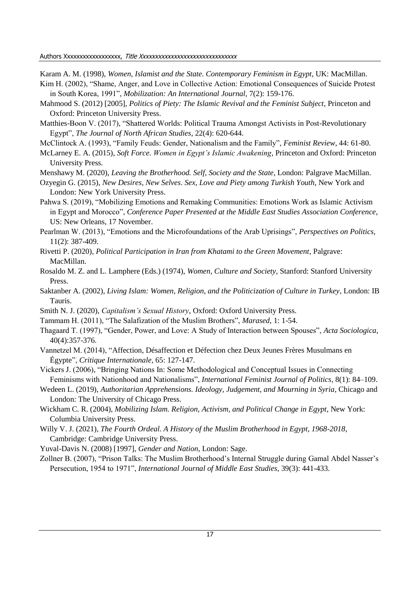Authors Xxxxxxxxxxxxxxxxxx, Title Xxxxxxxxxxxxxxxxxxxxxxxxxxxxxxx

Karam A. M. (1998), *Women, Islamist and the State. Contemporary Feminism in Egypt*, UK: MacMillan.

- Kim H. (2002), "Shame, Anger, and Love in Collective Action: Emotional Consequences of Suicide Protest in South Korea, 1991", *Mobilization: An International Journal,* 7(2): 159-176.
- Mahmood S. (2012) [2005], *Politics of Piety: The Islamic Revival and the Feminist Subject*, Princeton and Oxford: Princeton University Press.
- Matthies-Boon V. (2017), "Shattered Worlds: Political Trauma Amongst Activists in Post-Revolutionary Egypt", *The Journal of North African Studies*, 22(4): 620-644.
- McClintock A. (1993), "Family Feuds: Gender, Nationalism and the Family", *Feminist Review*, 44: 61-80.
- McLarney E. A. (2015), *Soft Force. Women in Egypt's Islamic Awakening*, Princeton and Oxford: Princeton University Press.
- Menshawy M. (2020), *Leaving the Brotherhood. Self, Society and the State*, London: Palgrave MacMillan.
- Ozyegin G. (2015), *New Desires, New Selves. Sex, Love and Piety among Turkish Youth*, New York and London: New York University Press.
- Pahwa S. (2019), "Mobilizing Emotions and Remaking Communities: Emotions Work as Islamic Activism in Egypt and Morocco", *Conference Paper Presented at the Middle East Studies Association Conference*, US: New Orleans, 17 November.
- Pearlman W. (2013), "Emotions and the Microfoundations of the Arab Uprisings", *Perspectives on Politics,* 11(2): 387-409.
- Rivetti P. (2020), *Political Participation in Iran from Khatami to the Green Movement*, Palgrave: MacMillan.
- Rosaldo M. Z. and L. Lamphere (Eds.) (1974), *Women, Culture and Society*, Stanford: Stanford University Press.
- Saktanber A. (2002), *Living Islam: Women, Religion, and the Politicization of Culture in Turkey*, London: IB Tauris.
- Smith N. J. (2020), *Capitalism's Sexual History*, Oxford: Oxford University Press.
- Tammam H. (2011), "The Salafization of the Muslim Brothers", *Marased,* 1: 1-54.
- Thagaard T. (1997), "Gender, Power, and Love: A Study of Interaction between Spouses", *Acta Sociologica*, 40(4):357-376.
- Vannetzel M. (2014), "Affection, Désaffection et Défection chez Deux Jeunes Frères Musulmans en Égypte", *Critique Internationale,* 65: 127-147.
- Vickers J. (2006), "Bringing Nations In: Some Methodological and Conceptual Issues in Connecting Feminisms with Nationhood and Nationalisms", *International Feminist Journal of Politics*, 8(1): 84–109.
- Wedeen L. (2019), *Authoritarian Apprehensions. Ideology, Judgement, and Mourning in Syria*, Chicago and London: The University of Chicago Press.
- Wickham C. R. (2004), *Mobilizing Islam. Religion, Activism, and Political Change in Egypt*, New York: Columbia University Press.
- Willy V. J. (2021), *The Fourth Ordeal. A History of the Muslim Brotherhood in Egypt, 1968-2018*, Cambridge: Cambridge University Press.
- Yuval-Davis N. (2008) [1997], *Gender and Nation*, London: Sage.
- Zollner B. (2007), "Prison Talks: The Muslim Brotherhood's Internal Struggle during Gamal Abdel Nasser's Persecution, 1954 to 1971", *International Journal of Middle East Studies*, 39(3): 441-433.